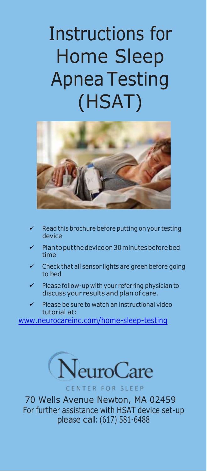# Instructions for Home Sleep Apnea Testing (HSAT)



- Read this brochure before putting onyour testing device
- Plantoputthedeviceon30minutesbeforebed time
- Check that all sensor lights are green before going to bed
- Please follow-up with your referring physician to discuss your results and plan of care.
- Please be sure to watch an instructional video tutorial at:

[www.neurocareinc.com/home-sleep-testing](http://www.neurocareinc.com/home-sleep-testing)



CENTER FOR SLEEP

70 Wells Avenue Newton, MA 02459 For further assistance with HSAT device set-up please call: (617) 581-6488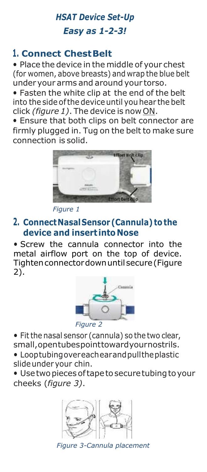## *HSAT Device Set-Up Easy as 1-2-3!*

## **1. Connect ChestBelt**

• Place the device in the middle of your chest (for women, above breasts) and wrap the blue belt under your arms and around your torso.

• Fasten the white clip at the end of the belt into the side of the device until you hear the belt click *(figure 1)*. The device is now ON.

• Ensure that both clips on belt connector are firmly plugged in. Tug on the belt to make sure connection is solid.



*Figure 1*

## **2. ConnectNasalSensor (Cannula) tothe device and insert into Nose**

• Screw the cannula connector into the metal airflow port on the top of device. Tightenconnectordownuntilsecure(Figure 2).



• Fitthe nasal sensor (cannula) so the two clear, small,opentubespointtowardyournostrils.

• Looptubingovereachearandpulltheplastic slideunder your chin.

• Usetwopiecesoftapetosecuretubingtoyour cheeks (*figure 3)*.



*Figure 3-Cannula placement*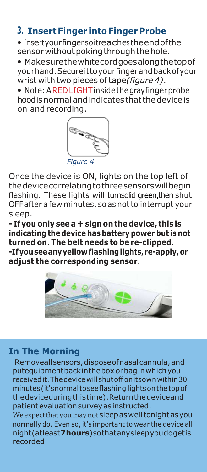## **3. InsertFinger intoFinger Probe**

• Insertyourfingersoitreachestheendofthe sensor without poking through the hole.

• Makesurethewhitecordgoesalongthetopof yourhand.Secureittoyourfingerandbackofyour wrist with two pieces oftape*(figure 4)*.

• Note:AREDLIGHTinsidethegrayfingerprobe hoodisnormalandindicates thatthedeviceis on and recording.



Once the device is ON, lights on the top left of thedevicecorrelatingtothreesensorswillbegin flashing. These lights will turnsolid green, then shut OFFafter a few minutes, soas notto interrupt your sleep.

**- Ifyou only see a + sign on the device, this is indicating the device has battery power but is not turned on. The belt needs to be re-clipped. -Ifyouseeanyyellowflashinglights, re-apply,or adjust the corresponding sensor**.



#### **In The Morning**

Removeallsensors, dispose of nasal cannula, and putequipmentbackinthebox orbaginwhichyou receivedit.Thedevice willshutoff onitsownwithin30 minutes(it'snormaltoseeflashing lightsonthetopof thedeviceduringthistime).Returnthedeviceand patient evaluation survey as instructed.

We expect that you may not sleep as well tonight as you normally do. Even so, it's important to wear the device all night(atleast**7hours**)sothatanysleepyoudogetis recorded.